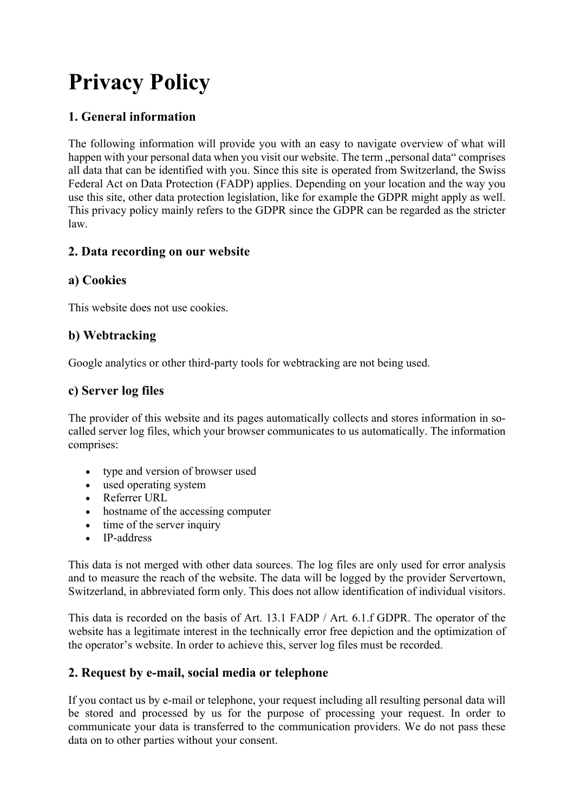# **Privacy Policy**

# **1. General information**

The following information will provide you with an easy to navigate overview of what will happen with your personal data when you visit our website. The term "personal data" comprises all data that can be identified with you. Since this site is operated from Switzerland, the Swiss Federal Act on Data Protection (FADP) applies. Depending on your location and the way you use this site, other data protection legislation, like for example the GDPR might apply as well. This privacy policy mainly refers to the GDPR since the GDPR can be regarded as the stricter law.

# **2. Data recording on our website**

# **a) Cookies**

This website does not use cookies.

# **b) Webtracking**

Google analytics or other third-party tools for webtracking are not being used.

# **c) Server log files**

The provider of this website and its pages automatically collects and stores information in socalled server log files, which your browser communicates to us automatically. The information comprises:

- type and version of browser used
- used operating system
- Referrer URL
- hostname of the accessing computer
- time of the server inquiry
- IP-address

This data is not merged with other data sources. The log files are only used for error analysis and to measure the reach of the website. The data will be logged by the provider Servertown, Switzerland, in abbreviated form only. This does not allow identification of individual visitors.

This data is recorded on the basis of Art. 13.1 FADP / Art. 6.1.f GDPR. The operator of the website has a legitimate interest in the technically error free depiction and the optimization of the operator's website. In order to achieve this, server log files must be recorded.

# **2. Request by e-mail, social media or telephone**

If you contact us by e-mail or telephone, your request including all resulting personal data will be stored and processed by us for the purpose of processing your request. In order to communicate your data is transferred to the communication providers. We do not pass these data on to other parties without your consent.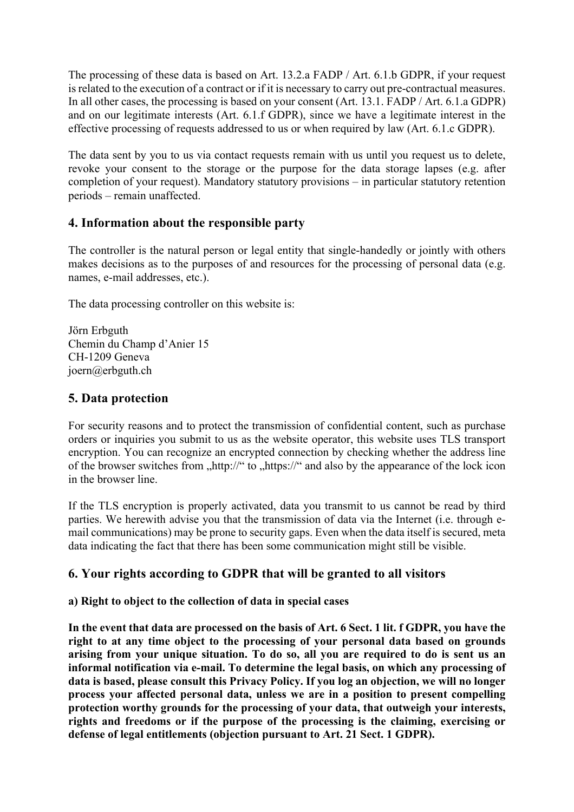The processing of these data is based on Art. 13.2.a FADP / Art. 6.1.b GDPR, if your request is related to the execution of a contract or if it is necessary to carry out pre-contractual measures. In all other cases, the processing is based on your consent (Art. 13.1. FADP / Art. 6.1.a GDPR) and on our legitimate interests (Art. 6.1.f GDPR), since we have a legitimate interest in the effective processing of requests addressed to us or when required by law (Art. 6.1.c GDPR).

The data sent by you to us via contact requests remain with us until you request us to delete, revoke your consent to the storage or the purpose for the data storage lapses (e.g. after completion of your request). Mandatory statutory provisions – in particular statutory retention periods – remain unaffected.

## **4. Information about the responsible party**

The controller is the natural person or legal entity that single-handedly or jointly with others makes decisions as to the purposes of and resources for the processing of personal data (e.g. names, e-mail addresses, etc.).

The data processing controller on this website is:

Jörn Erbguth Chemin du Champ d'Anier 15 CH-1209 Geneva joern@erbguth.ch

## **5. Data protection**

For security reasons and to protect the transmission of confidential content, such as purchase orders or inquiries you submit to us as the website operator, this website uses TLS transport encryption. You can recognize an encrypted connection by checking whether the address line of the browser switches from  $\frac{1}{h}$ , https://" and also by the appearance of the lock icon in the browser line.

If the TLS encryption is properly activated, data you transmit to us cannot be read by third parties. We herewith advise you that the transmission of data via the Internet (i.e. through email communications) may be prone to security gaps. Even when the data itself is secured, meta data indicating the fact that there has been some communication might still be visible.

## **6. Your rights according to GDPR that will be granted to all visitors**

#### **a) Right to object to the collection of data in special cases**

**In the event that data are processed on the basis of Art. 6 Sect. 1 lit. f GDPR, you have the right to at any time object to the processing of your personal data based on grounds arising from your unique situation. To do so, all you are required to do is sent us an informal notification via e-mail. To determine the legal basis, on which any processing of data is based, please consult this Privacy Policy. If you log an objection, we will no longer process your affected personal data, unless we are in a position to present compelling protection worthy grounds for the processing of your data, that outweigh your interests, rights and freedoms or if the purpose of the processing is the claiming, exercising or defense of legal entitlements (objection pursuant to Art. 21 Sect. 1 GDPR).**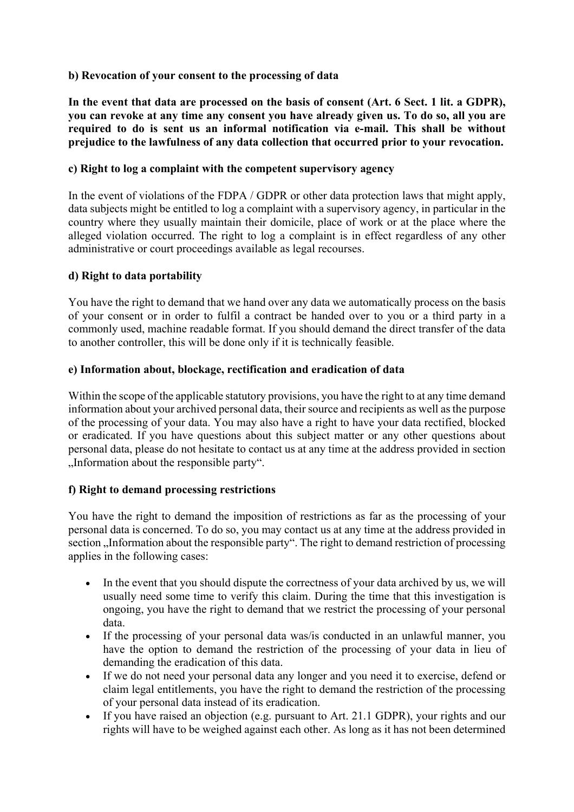#### **b) Revocation of your consent to the processing of data**

**In the event that data are processed on the basis of consent (Art. 6 Sect. 1 lit. a GDPR), you can revoke at any time any consent you have already given us. To do so, all you are required to do is sent us an informal notification via e-mail. This shall be without prejudice to the lawfulness of any data collection that occurred prior to your revocation.**

#### **c) Right to log a complaint with the competent supervisory agency**

In the event of violations of the FDPA / GDPR or other data protection laws that might apply, data subjects might be entitled to log a complaint with a supervisory agency, in particular in the country where they usually maintain their domicile, place of work or at the place where the alleged violation occurred. The right to log a complaint is in effect regardless of any other administrative or court proceedings available as legal recourses.

## **d) Right to data portability**

You have the right to demand that we hand over any data we automatically process on the basis of your consent or in order to fulfil a contract be handed over to you or a third party in a commonly used, machine readable format. If you should demand the direct transfer of the data to another controller, this will be done only if it is technically feasible.

### **e) Information about, blockage, rectification and eradication of data**

Within the scope of the applicable statutory provisions, you have the right to at any time demand information about your archived personal data, their source and recipients as well as the purpose of the processing of your data. You may also have a right to have your data rectified, blocked or eradicated. If you have questions about this subject matter or any other questions about personal data, please do not hesitate to contact us at any time at the address provided in section "Information about the responsible party".

#### **f) Right to demand processing restrictions**

You have the right to demand the imposition of restrictions as far as the processing of your personal data is concerned. To do so, you may contact us at any time at the address provided in section , Information about the responsible party". The right to demand restriction of processing applies in the following cases:

- In the event that you should dispute the correctness of your data archived by us, we will usually need some time to verify this claim. During the time that this investigation is ongoing, you have the right to demand that we restrict the processing of your personal data.
- If the processing of your personal data was/is conducted in an unlawful manner, you have the option to demand the restriction of the processing of your data in lieu of demanding the eradication of this data.
- If we do not need your personal data any longer and you need it to exercise, defend or claim legal entitlements, you have the right to demand the restriction of the processing of your personal data instead of its eradication.
- If you have raised an objection (e.g. pursuant to Art. 21.1 GDPR), your rights and our rights will have to be weighed against each other. As long as it has not been determined